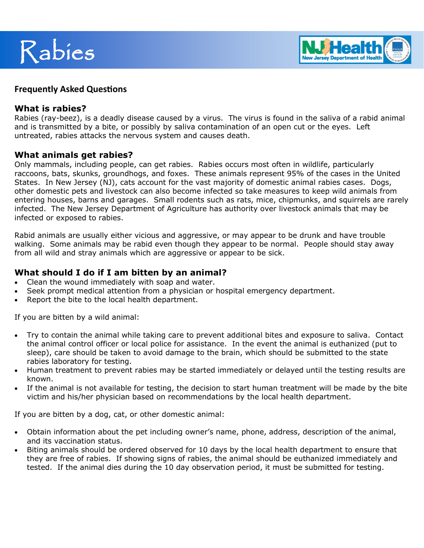



#### **Frequently Asked Questions**

#### **What is rabies?**

Rabies (ray-beez), is a deadly disease caused by a virus. The virus is found in the saliva of a rabid animal and is transmitted by a bite, or possibly by saliva contamination of an open cut or the eyes. Left untreated, rabies attacks the nervous system and causes death.

### **What animals get rabies?**

Only mammals, including people, can get rabies. Rabies occurs most often in wildlife, particularly raccoons, bats, skunks, groundhogs, and foxes. These animals represent 95% of the cases in the United States. In New Jersey (NJ), cats account for the vast majority of domestic animal rabies cases. Dogs, other domestic pets and livestock can also become infected so take measures to keep wild animals from entering houses, barns and garages. Small rodents such as rats, mice, chipmunks, and squirrels are rarely infected. The New Jersey Department of Agriculture has authority over livestock animals that may be infected or exposed to rabies.

Rabid animals are usually either vicious and aggressive, or may appear to be drunk and have trouble walking. Some animals may be rabid even though they appear to be normal. People should stay away from all wild and stray animals which are aggressive or appear to be sick.

### **What should I do if I am bitten by an animal?**

- Clean the wound immediately with soap and water.
- Seek prompt medical attention from a physician or hospital emergency department.
- Report the bite to the local health department.

If you are bitten by a wild animal:

- Try to contain the animal while taking care to prevent additional bites and exposure to saliva. Contact the animal control officer or local police for assistance. In the event the animal is euthanized (put to sleep), care should be taken to avoid damage to the brain, which should be submitted to the state rabies laboratory for testing.
- Human treatment to prevent rabies may be started immediately or delayed until the testing results are known.
- If the animal is not available for testing, the decision to start human treatment will be made by the bite victim and his/her physician based on recommendations by the local health department.

If you are bitten by a dog, cat, or other domestic animal:

- Obtain information about the pet including owner's name, phone, address, description of the animal, and its vaccination status.
- Biting animals should be ordered observed for 10 days by the local health department to ensure that they are free of rabies. If showing signs of rabies, the animal should be euthanized immediately and tested. If the animal dies during the 10 day observation period, it must be submitted for testing.